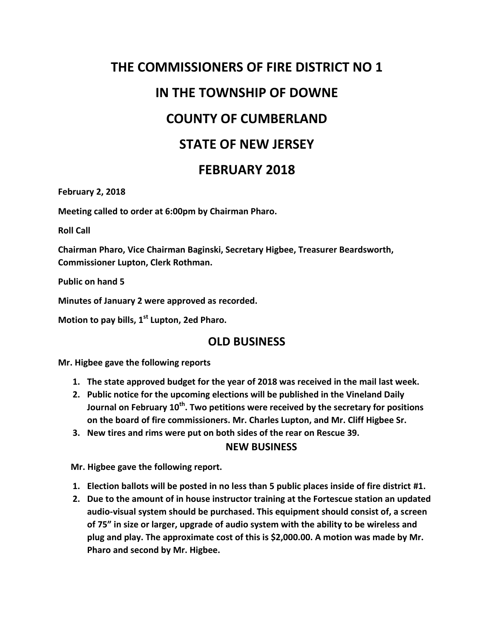## **THE COMMISSIONERS OF FIRE DISTRICT NO 1 IN THE TOWNSHIP OF DOWNE COUNTY OF CUMBERLAND STATE OF NEW JERSEY FEBRUARY 2018**

**February 2, 2018**

**Meeting called to order at 6:00pm by Chairman Pharo.**

**Roll Call**

**Chairman Pharo, Vice Chairman Baginski, Secretary Higbee, Treasurer Beardsworth, Commissioner Lupton, Clerk Rothman.**

**Public on hand 5**

**Minutes of January 2 were approved as recorded.**

**Motion to pay bills, 1st Lupton, 2ed Pharo.**

## **OLD BUSINESS**

**Mr. Higbee gave the following reports**

- **1. The state approved budget for the year of 2018 was received in the mail last week.**
- **2. Public notice for the upcoming elections will be published in the Vineland Daily Journal on February 10th. Two petitions were received by the secretary for positions on the board of fire commissioners. Mr. Charles Lupton, and Mr. Cliff Higbee Sr.**
- **3. New tires and rims were put on both sides of the rear on Rescue 39.**

## **NEW BUSINESS**

 **Mr. Higbee gave the following report.**

- **1. Election ballots will be posted in no less than 5 public places inside of fire district #1.**
- **2. Due to the amount of in house instructor training at the Fortescue station an updated audio-visual system should be purchased. This equipment should consist of, a screen of 75" in size or larger, upgrade of audio system with the ability to be wireless and plug and play. The approximate cost of this is \$2,000.00. A motion was made by Mr. Pharo and second by Mr. Higbee.**